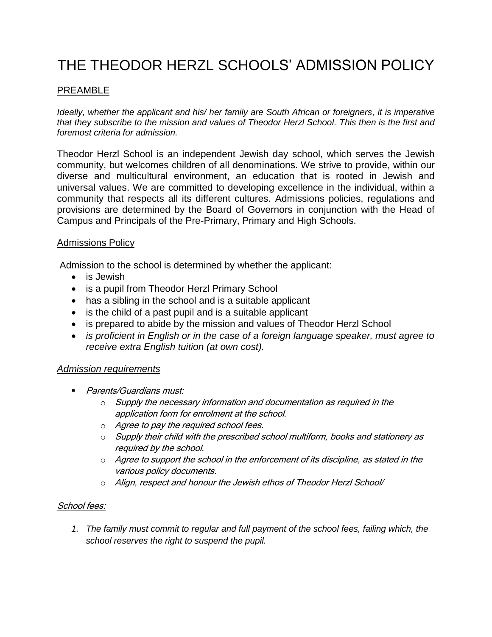# THE THEODOR HERZL SCHOOLS' ADMISSION POLICY

## PREAMBLE

*Ideally, whether the applicant and his/ her family are South African or foreigners, it is imperative that they subscribe to the mission and values of Theodor Herzl School. This then is the first and foremost criteria for admission.*

Theodor Herzl School is an independent Jewish day school, which serves the Jewish community, but welcomes children of all denominations. We strive to provide, within our diverse and multicultural environment, an education that is rooted in Jewish and universal values. We are committed to developing excellence in the individual, within a community that respects all its different cultures. Admissions policies, regulations and provisions are determined by the Board of Governors in conjunction with the Head of Campus and Principals of the Pre-Primary, Primary and High Schools.

#### Admissions Policy

Admission to the school is determined by whether the applicant:

- is Jewish
- is a pupil from Theodor Herzl Primary School
- has a sibling in the school and is a suitable applicant
- is the child of a past pupil and is a suitable applicant
- is prepared to abide by the mission and values of Theodor Herzl School
- *is proficient in English or in the case of a foreign language speaker, must agree to receive extra English tuition (at own cost).*

## *Admission requirements*

- **Parents/Guardians must:** 
	- $\circ$  Supply the necessary information and documentation as required in the application form for enrolment at the school.
	- o Agree to pay the required school fees.
	- $\circ$  Supply their child with the prescribed school multiform, books and stationery as required by the school.
	- o Agree to support the school in the enforcement of its discipline, as stated in the various policy documents.
	- o Align, respect and honour the Jewish ethos of Theodor Herzl School/

#### School fees:

*1. The family must commit to regular and full payment of the school fees, failing which, the school reserves the right to suspend the pupil.*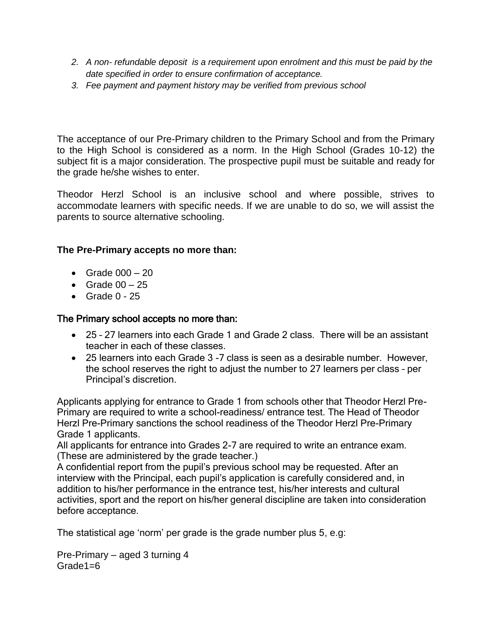- *2. A non- refundable deposit is a requirement upon enrolment and this must be paid by the date specified in order to ensure confirmation of acceptance.*
- *3. Fee payment and payment history may be verified from previous school*

The acceptance of our Pre-Primary children to the Primary School and from the Primary to the High School is considered as a norm. In the High School (Grades 10-12) the subject fit is a major consideration. The prospective pupil must be suitable and ready for the grade he/she wishes to enter.

Theodor Herzl School is an inclusive school and where possible, strives to accommodate learners with specific needs. If we are unable to do so, we will assist the parents to source alternative schooling.

## **The Pre-Primary accepts no more than:**

- Grade  $000 20$
- Grade  $00 25$
- $\bullet$  Grade 0 25

## The Primary school accepts no more than:

- 25 27 learners into each Grade 1 and Grade 2 class. There will be an assistant teacher in each of these classes.
- 25 learners into each Grade 3 -7 class is seen as a desirable number. However, the school reserves the right to adjust the number to 27 learners per class – per Principal's discretion.

Applicants applying for entrance to Grade 1 from schools other that Theodor Herzl Pre-Primary are required to write a school-readiness/ entrance test. The Head of Theodor Herzl Pre-Primary sanctions the school readiness of the Theodor Herzl Pre-Primary Grade 1 applicants.

All applicants for entrance into Grades 2-7 are required to write an entrance exam. (These are administered by the grade teacher.)

A confidential report from the pupil's previous school may be requested. After an interview with the Principal, each pupil's application is carefully considered and, in addition to his/her performance in the entrance test, his/her interests and cultural activities, sport and the report on his/her general discipline are taken into consideration before acceptance.

The statistical age 'norm' per grade is the grade number plus 5, e.g:

Pre-Primary – aged 3 turning 4 Grade1=6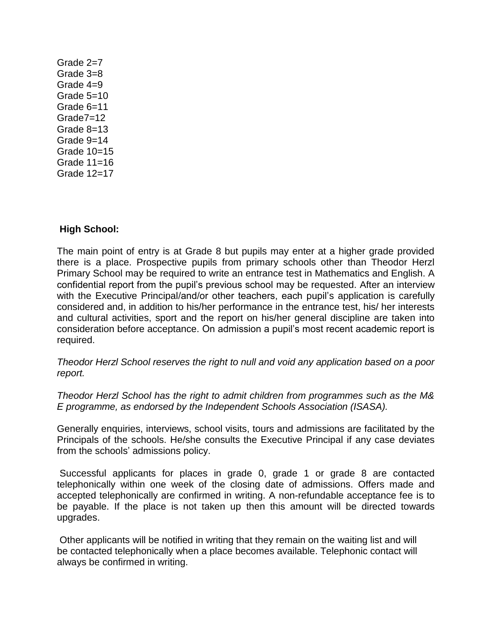Grade 2=7 Grade 3=8 Grade 4=9 Grade 5=10 Grade 6=11 Grade7=12 Grade 8=13 Grade 9=14 Grade 10=15 Grade 11=16 Grade 12=17

## **High School:**

The main point of entry is at Grade 8 but pupils may enter at a higher grade provided there is a place. Prospective pupils from primary schools other than Theodor Herzl Primary School may be required to write an entrance test in Mathematics and English. A confidential report from the pupil's previous school may be requested. After an interview with the Executive Principal/and/or other teachers, each pupil's application is carefully considered and, in addition to his/her performance in the entrance test, his/ her interests and cultural activities, sport and the report on his/her general discipline are taken into consideration before acceptance. On admission a pupil's most recent academic report is required.

*Theodor Herzl School reserves the right to null and void any application based on a poor report.*

*Theodor Herzl School has the right to admit children from programmes such as the M& E programme, as endorsed by the Independent Schools Association (ISASA).*

Generally enquiries, interviews, school visits, tours and admissions are facilitated by the Principals of the schools. He/she consults the Executive Principal if any case deviates from the schools' admissions policy.

Successful applicants for places in grade 0, grade 1 or grade 8 are contacted telephonically within one week of the closing date of admissions. Offers made and accepted telephonically are confirmed in writing. A non-refundable acceptance fee is to be payable. If the place is not taken up then this amount will be directed towards upgrades.

Other applicants will be notified in writing that they remain on the waiting list and will be contacted telephonically when a place becomes available. Telephonic contact will always be confirmed in writing.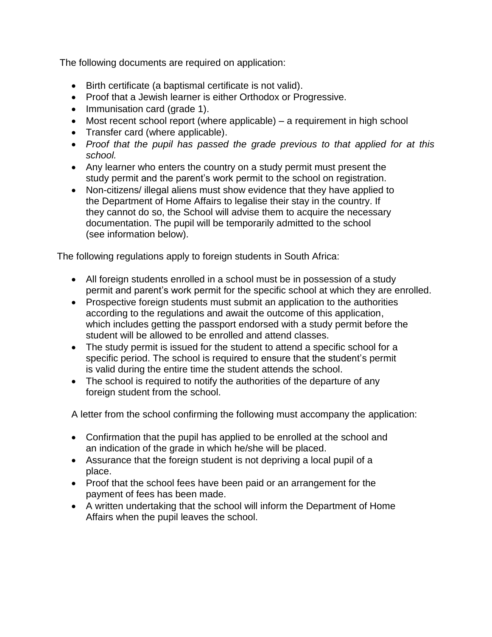The following documents are required on application:

- Birth certificate (a baptismal certificate is not valid).
- Proof that a Jewish learner is either Orthodox or Progressive.
- Immunisation card (grade 1).
- Most recent school report (where applicable) a requirement in high school
- Transfer card (where applicable).
- *Proof that the pupil has passed the grade previous to that applied for at this school.*
- Any learner who enters the country on a study permit must present the study permit and the parent's work permit to the school on registration.
- Non-citizens/ illegal aliens must show evidence that they have applied to the Department of Home Affairs to legalise their stay in the country. If they cannot do so, the School will advise them to acquire the necessary documentation. The pupil will be temporarily admitted to the school (see information below).

The following regulations apply to foreign students in South Africa:

- All foreign students enrolled in a school must be in possession of a study permit and parent's work permit for the specific school at which they are enrolled.
- Prospective foreign students must submit an application to the authorities according to the regulations and await the outcome of this application, which includes getting the passport endorsed with a study permit before the student will be allowed to be enrolled and attend classes.
- The study permit is issued for the student to attend a specific school for a specific period. The school is required to ensure that the student's permit is valid during the entire time the student attends the school.
- The school is required to notify the authorities of the departure of any foreign student from the school.

A letter from the school confirming the following must accompany the application:

- Confirmation that the pupil has applied to be enrolled at the school and an indication of the grade in which he/she will be placed.
- Assurance that the foreign student is not depriving a local pupil of a place.
- Proof that the school fees have been paid or an arrangement for the payment of fees has been made.
- A written undertaking that the school will inform the Department of Home Affairs when the pupil leaves the school.